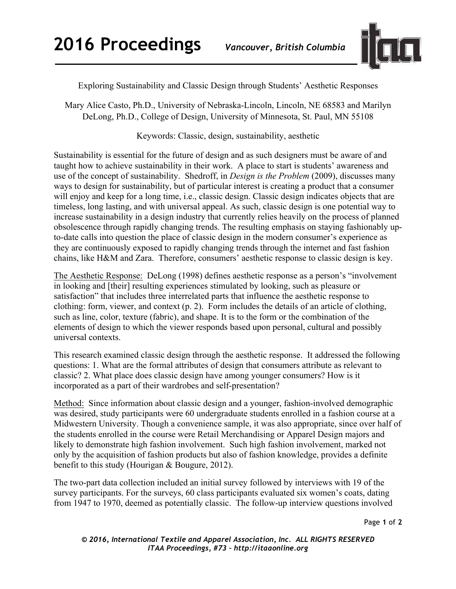

Exploring Sustainability and Classic Design through Students' Aesthetic Responses

Mary Alice Casto, Ph.D., University of Nebraska-Lincoln, Lincoln, NE 68583 and Marilyn DeLong, Ph.D., College of Design, University of Minnesota, St. Paul, MN 55108

Keywords: Classic, design, sustainability, aesthetic

Sustainability is essential for the future of design and as such designers must be aware of and taught how to achieve sustainability in their work. A place to start is students' awareness and use of the concept of sustainability. Shedroff, in *Design is the Problem* (2009), discusses many ways to design for sustainability, but of particular interest is creating a product that a consumer will enjoy and keep for a long time, i.e., classic design. Classic design indicates objects that are timeless, long lasting, and with universal appeal. As such, classic design is one potential way to increase sustainability in a design industry that currently relies heavily on the process of planned obsolescence through rapidly changing trends. The resulting emphasis on staying fashionably upto-date calls into question the place of classic design in the modern consumer's experience as they are continuously exposed to rapidly changing trends through the internet and fast fashion chains, like H&M and Zara. Therefore, consumers' aesthetic response to classic design is key.

The Aesthetic Response: DeLong (1998) defines aesthetic response as a person's "involvement in looking and [their] resulting experiences stimulated by looking, such as pleasure or satisfaction" that includes three interrelated parts that influence the aesthetic response to clothing: form, viewer, and context (p. 2). Form includes the details of an article of clothing, such as line, color, texture (fabric), and shape. It is to the form or the combination of the elements of design to which the viewer responds based upon personal, cultural and possibly universal contexts.

This research examined classic design through the aesthetic response. It addressed the following questions: 1. What are the formal attributes of design that consumers attribute as relevant to classic? 2. What place does classic design have among younger consumers? How is it incorporated as a part of their wardrobes and self-presentation?

Method: Since information about classic design and a younger, fashion-involved demographic was desired, study participants were 60 undergraduate students enrolled in a fashion course at a Midwestern University. Though a convenience sample, it was also appropriate, since over half of the students enrolled in the course were Retail Merchandising or Apparel Design majors and likely to demonstrate high fashion involvement. Such high fashion involvement, marked not only by the acquisition of fashion products but also of fashion knowledge, provides a definite benefit to this study (Hourigan & Bougure, 2012).

The two-part data collection included an initial survey followed by interviews with 19 of the survey participants. For the surveys, 60 class participants evaluated six women's coats, dating from 1947 to 1970, deemed as potentially classic. The follow-up interview questions involved